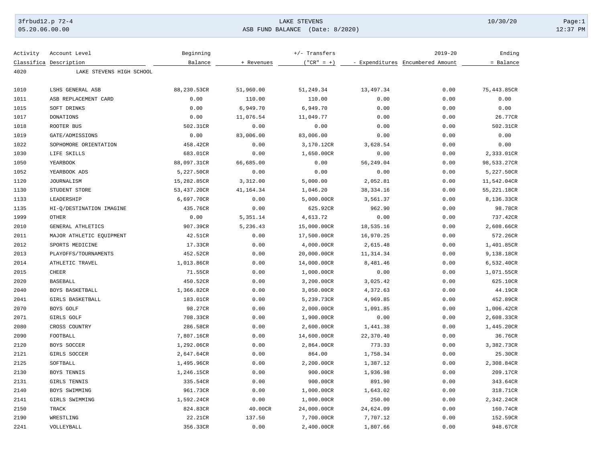## 3frbud12.p 72-4 LAKE STEVENS 10/30/20 Page:1

05.20.06.00.00 ASB FUND BALANCE (Date: 8/2020) 12:37 PM

| Activity | Account Level            | Beginning   |             | +/- Transfers |             | $2019 - 20$                      | Ending      |
|----------|--------------------------|-------------|-------------|---------------|-------------|----------------------------------|-------------|
|          | Classifica Description   | Balance     | + Revenues  | $("CR" = +)$  |             | - Expenditures Encumbered Amount | = Balance   |
| 4020     | LAKE STEVENS HIGH SCHOOL |             |             |               |             |                                  |             |
| 1010     | LSHS GENERAL ASB         | 88,230.53CR | 51,960.00   | 51,249.34     | 13,497.34   | 0.00                             | 75,443.85CR |
| 1011     | ASB REPLACEMENT CARD     | 0.00        | 110.00      | 110.00        | 0.00        | 0.00                             | 0.00        |
| 1015     | SOFT DRINKS              | 0.00        | 6,949.70    | 6,949.70      | 0.00        | 0.00                             | 0.00        |
| 1017     | <b>DONATIONS</b>         | 0.00        | 11,076.54   | 11,049.77     | 0.00        | 0.00                             | 26.77CR     |
| 1018     | ROOTER BUS               | 502.31CR    | 0.00        | 0.00          | 0.00        | 0.00                             | 502.31CR    |
| 1019     | GATE/ADMISSIONS          | 0.00        | 83,006.00   | 83,006.00     | 0.00        | 0.00                             | 0.00        |
| 1022     | SOPHOMORE ORIENTATION    | 458.42CR    | 0.00        | 3,170.12CR    | 3,628.54    | 0.00                             | 0.00        |
| 1030     | LIFE SKILLS              | 683.01CR    | 0.00        | 1,650.00CR    | 0.00        | 0.00                             | 2,333.01CR  |
| 1050     | YEARBOOK                 | 88,097.31CR | 66,685.00   | 0.00          | 56,249.04   | 0.00                             | 98,533.27CR |
| 1052     | YEARBOOK ADS             | 5,227.50CR  | 0.00        | 0.00          | 0.00        | 0.00                             | 5,227.50CR  |
| 1120     | <b>JOURNALISM</b>        | 15,282.85CR | 3,312.00    | 5,000.00      | 2,052.81    | 0.00                             | 11,542.04CR |
| 1130     | STUDENT STORE            | 53,437.20CR | 41, 164. 34 | 1,046.20      | 38, 334. 16 | 0.00                             | 55,221.18CR |
| 1133     | LEADERSHIP               | 6,697.70CR  | 0.00        | 5,000.00CR    | 3,561.37    | 0.00                             | 8,136.33CR  |
| 1135     | HI-Q/DESTINATION IMAGINE | 435.76CR    | 0.00        | 625.92CR      | 962.90      | 0.00                             | 98.78CR     |
| 1999     | <b>OTHER</b>             | 0.00        | 5,351.14    | 4,613.72      | 0.00        | 0.00                             | 737.42CR    |
| 2010     | GENERAL ATHLETICS        | 907.39CR    | 5,236.43    | 15,000.00CR   | 18,535.16   | 0.00                             | 2,608.66CR  |
| 2011     | MAJOR ATHLETIC EQUIPMENT | 42.51CR     | 0.00        | 17,500.00CR   | 16,970.25   | 0.00                             | 572.26CR    |
| 2012     | SPORTS MEDICINE          | 17.33CR     | 0.00        | 4,000.00CR    | 2,615.48    | 0.00                             | 1,401.85CR  |
| 2013     | PLAYOFFS/TOURNAMENTS     | 452.52CR    | 0.00        | 20,000.00CR   | 11,314.34   | 0.00                             | 9,138.18CR  |
| 2014     | ATHLETIC TRAVEL          | 1,013.86CR  | 0.00        | 14,000.00CR   | 8,481.46    | 0.00                             | 6,532.40CR  |
| 2015     | <b>CHEER</b>             | 71.55CR     | 0.00        | 1,000.00CR    | 0.00        | 0.00                             | 1,071.55CR  |
| 2020     | <b>BASEBALL</b>          | 450.52CR    | 0.00        | 3,200.00CR    | 3,025.42    | 0.00                             | 625.10CR    |
| 2040     | BOYS BASKETBALL          | 1,366.82CR  | 0.00        | 3,050.00CR    | 4,372.63    | 0.00                             | 44.19CR     |
| 2041     | GIRLS BASKETBALL         | 183.01CR    | 0.00        | 5,239.73CR    | 4,969.85    | 0.00                             | 452.89CR    |
| 2070     | BOYS GOLF                | 98.27CR     | 0.00        | 2,000.00CR    | 1,091.85    | 0.00                             | 1,006.42CR  |
| 2071     | GIRLS GOLF               | 708.33CR    | 0.00        | 1,900.00CR    | 0.00        | 0.00                             | 2,608.33CR  |
| 2080     | CROSS COUNTRY            | 286.58CR    | 0.00        | 2,600.00CR    | 1,441.38    | 0.00                             | 1,445.20CR  |
| 2090     | FOOTBALL                 | 7,807.16CR  | 0.00        | 14,600.00CR   | 22,370.40   | 0.00                             | 36.76CR     |
| 2120     | BOYS SOCCER              | 1,292.06CR  | 0.00        | 2,864.00CR    | 773.33      | 0.00                             | 3,382.73CR  |
| 2121     | GIRLS SOCCER             | 2,647.64CR  | 0.00        | 864.00        | 1,758.34    | 0.00                             | 25.30CR     |
| 2125     | SOFTBALL                 | 1,495.96CR  | 0.00        | 2,200.00CR    | 1,387.12    | 0.00                             | 2,308.84CR  |
| 2130     | BOYS TENNIS              | 1,246.15CR  | 0.00        | 900.00CR      | 1,936.98    | 0.00                             | 209.17CR    |
| 2131     | GIRLS TENNIS             | 335.54CR    | 0.00        | 900.00CR      | 891.90      | 0.00                             | 343.64CR    |
| 2140     | BOYS SWIMMING            | 961.73CR    | 0.00        | 1,000.00CR    | 1,643.02    | 0.00                             | 318.71CR    |
| 2141     | GIRLS SWIMMING           | 1,592.24CR  | 0.00        | 1,000.00CR    | 250.00      | 0.00                             | 2,342.24CR  |
| 2150     | <b>TRACK</b>             | 824.83CR    | 40.00CR     | 24,000.00CR   | 24,624.09   | 0.00                             | 160.74CR    |
| 2190     | WRESTLING                | 22.21CR     | 137.50      | 7,700.00CR    | 7,707.12    | 0.00                             | 152.59CR    |
| 2241     | VOLLEYBALL               | 356.33CR    | 0.00        | 2,400.00CR    | 1,807.66    | 0.00                             | 948.67CR    |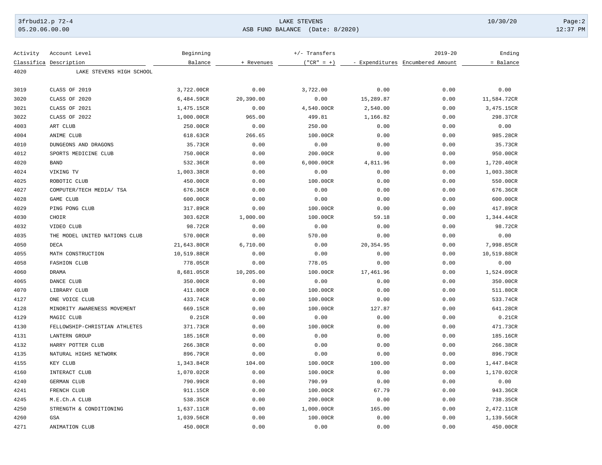## 3frbud12.p 72-4 LAKE STEVENS 10/30/20 Page:2

05.20.06.00.00 ASB FUND BALANCE (Date: 8/2020) 12:37 PM

| Activity | Account Level                 | Beginning   |            | +/- Transfers |           | Ending                           |             |  |
|----------|-------------------------------|-------------|------------|---------------|-----------|----------------------------------|-------------|--|
|          | Classifica Description        | Balance     | + Revenues | $("CR" = +)$  |           | - Expenditures Encumbered Amount | = Balance   |  |
| 4020     | LAKE STEVENS HIGH SCHOOL      |             |            |               |           |                                  |             |  |
| 3019     | CLASS OF 2019                 | 3,722.00CR  | 0.00       | 3,722.00      | 0.00      | 0.00                             | 0.00        |  |
| 3020     | CLASS OF 2020                 | 6,484.59CR  | 20,390.00  | 0.00          | 15,289.87 | 0.00                             | 11,584.72CR |  |
| 3021     | CLASS OF 2021                 | 1,475.15CR  | 0.00       | 4,540.00CR    | 2,540.00  | 0.00                             | 3,475.15CR  |  |
| 3022     | CLASS OF 2022                 | 1,000.00CR  | 965.00     | 499.81        | 1,166.82  | 0.00                             | 298.37CR    |  |
| 4003     | ART CLUB                      | 250.00CR    | 0.00       | 250.00        | 0.00      | 0.00                             | 0.00        |  |
| 4004     | ANIME CLUB                    | 618.63CR    | 266.65     | 100.00CR      | 0.00      | 0.00                             | 985.28CR    |  |
| 4010     | DUNGEONS AND DRAGONS          | 35.73CR     | 0.00       | 0.00          | 0.00      | 0.00                             | 35.73CR     |  |
| 4012     | SPORTS MEDICINE CLUB          | 750.00CR    | 0.00       | 200.00CR      | 0.00      | 0.00                             | 950.00CR    |  |
| 4020     | <b>BAND</b>                   | 532.36CR    | 0.00       | 6,000.00CR    | 4,811.96  | 0.00                             | 1,720.40CR  |  |
| 4024     | VIKING TV                     | 1,003.38CR  | 0.00       | 0.00          | 0.00      | 0.00                             | 1,003.38CR  |  |
| 4025     | ROBOTIC CLUB                  | 450.00CR    | 0.00       | 100.00CR      | 0.00      | 0.00                             | 550.00CR    |  |
| 4027     | COMPUTER/TECH MEDIA/ TSA      | 676.36CR    | 0.00       | 0.00          | 0.00      | 0.00                             | 676.36CR    |  |
| 4028     | <b>GAME CLUB</b>              | 600.00CR    | 0.00       | 0.00          | 0.00      | 0.00                             | 600.00CR    |  |
| 4029     | PING PONG CLUB                | 317.89CR    | 0.00       | 100.00CR      | 0.00      | 0.00                             | 417.89CR    |  |
| 4030     | CHOIR                         | 303.62CR    | 1,000.00   | 100.00CR      | 59.18     | 0.00                             | 1,344.44CR  |  |
| 4032     | VIDEO CLUB                    | 98.72CR     | 0.00       | 0.00          | 0.00      | 0.00                             | 98.72CR     |  |
| 4035     | THE MODEL UNITED NATIONS CLUB | 570.00CR    | 0.00       | 570.00        | 0.00      | 0.00                             | 0.00        |  |
| 4050     | DECA                          | 21,643.80CR | 6,710.00   | 0.00          | 20,354.95 | 0.00                             | 7,998.85CR  |  |
| 4055     | MATH CONSTRUCTION             | 10,519.88CR | 0.00       | 0.00          | 0.00      | 0.00                             | 10,519.88CR |  |
| 4058     | FASHION CLUB                  | 778.05CR    | 0.00       | 778.05        | 0.00      | 0.00                             | 0.00        |  |
| 4060     | <b>DRAMA</b>                  | 8,681.05CR  | 10,205.00  | 100.00CR      | 17,461.96 | 0.00                             | 1,524.09CR  |  |
| 4065     | DANCE CLUB                    | 350.00CR    | 0.00       | 0.00          | 0.00      | 0.00                             | 350.00CR    |  |
| 4070     | LIBRARY CLUB                  | 411.80CR    | 0.00       | 100.00CR      | 0.00      | 0.00                             | 511.80CR    |  |
| 4127     | ONE VOICE CLUB                | 433.74CR    | 0.00       | 100.00CR      | 0.00      | 0.00                             | 533.74CR    |  |
| 4128     | MINORITY AWARENESS MOVEMENT   | 669.15CR    | 0.00       | 100.00CR      | 127.87    | 0.00                             | 641.28CR    |  |
| 4129     | MAGIC CLUB                    | 0.21CR      | 0.00       | 0.00          | 0.00      | 0.00                             | 0.21CR      |  |
| 4130     | FELLOWSHIP-CHRISTIAN ATHLETES | 371.73CR    | 0.00       | 100.00CR      | 0.00      | 0.00                             | 471.73CR    |  |
| 4131     | <b>LANTERN GROUP</b>          | 185.16CR    | 0.00       | 0.00          | 0.00      | 0.00                             | 185.16CR    |  |
| 4132     | HARRY POTTER CLUB             | 266.38CR    | 0.00       | 0.00          | 0.00      | 0.00                             | 266.38CR    |  |
| 4135     | NATURAL HIGHS NETWORK         | 896.79CR    | 0.00       | 0.00          | 0.00      | 0.00                             | 896.79CR    |  |
| 4155     | KEY CLUB                      | 1,343.84CR  | 104.00     | 100.00CR      | 100.00    | 0.00                             | 1,447.84CR  |  |
| 4160     | INTERACT CLUB                 | 1,070.02CR  | 0.00       | 100.00CR      | 0.00      | 0.00                             | 1,170.02CR  |  |
| 4240     | GERMAN CLUB                   | 790.99CR    | 0.00       | 790.99        | 0.00      | 0.00                             | 0.00        |  |
| 4241     | FRENCH CLUB                   | 911.15CR    | 0.00       | 100.00CR      | 67.79     | 0.00                             | 943.36CR    |  |
| 4245     | M.E.Ch.A CLUB                 | 538.35CR    | 0.00       | 200.00CR      | 0.00      | 0.00                             | 738.35CR    |  |
| 4250     | STRENGTH & CONDITIONING       | 1,637.11CR  | 0.00       | 1,000.00CR    | 165.00    | 0.00                             | 2,472.11CR  |  |
| 4260     | GSA                           | 1,039.56CR  | 0.00       | 100.00CR      | 0.00      | 0.00                             | 1,139.56CR  |  |
| 4271     | ANIMATION CLUB                | 450.00CR    | 0.00       | 0.00          | 0.00      | 0.00                             | 450.00CR    |  |